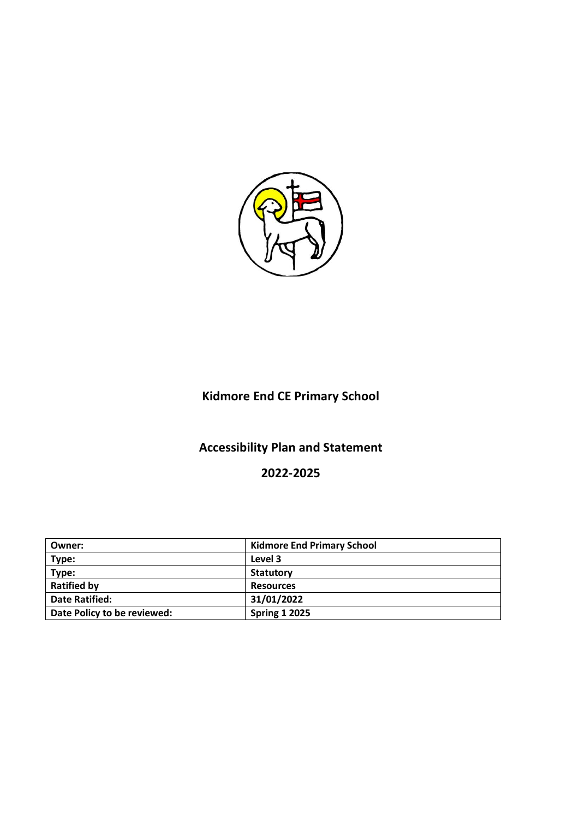

# **Kidmore End CE Primary School**

# **Accessibility Plan and Statement**

### **2022-2025**

| Owner:                      | <b>Kidmore End Primary School</b> |
|-----------------------------|-----------------------------------|
| Type:                       | Level 3                           |
| Type:                       | <b>Statutory</b>                  |
| <b>Ratified by</b>          | <b>Resources</b>                  |
| <b>Date Ratified:</b>       | 31/01/2022                        |
| Date Policy to be reviewed: | <b>Spring 1 2025</b>              |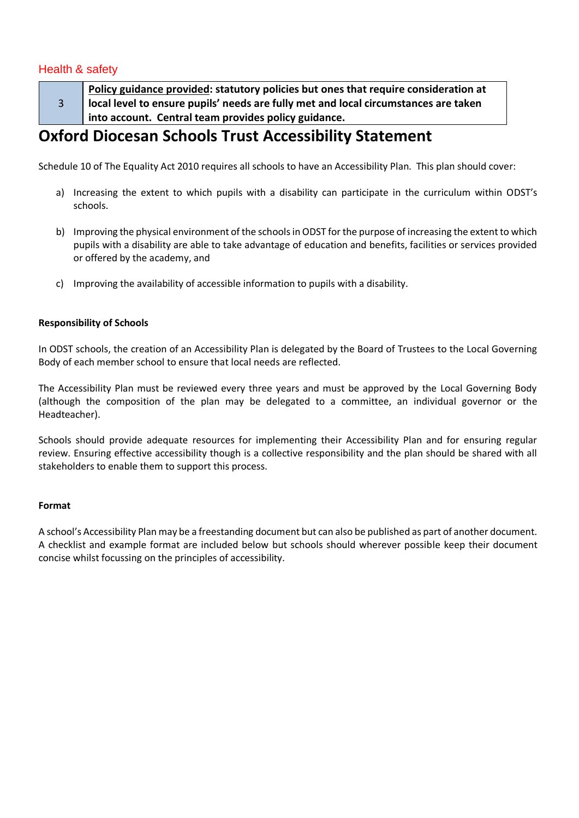### Health & safety

3

**Policy guidance provided: statutory policies but ones that require consideration at local level to ensure pupils' needs are fully met and local circumstances are taken into account. Central team provides policy guidance.**

## **Oxford Diocesan Schools Trust Accessibility Statement**

Schedule 10 of The Equality Act 2010 requires all schools to have an Accessibility Plan. This plan should cover:

- a) Increasing the extent to which pupils with a disability can participate in the curriculum within ODST's schools.
- b) Improving the physical environment of the schools in ODST for the purpose of increasing the extent to which pupils with a disability are able to take advantage of education and benefits, facilities or services provided or offered by the academy, and
- c) Improving the availability of accessible information to pupils with a disability.

### **Responsibility of Schools**

In ODST schools, the creation of an Accessibility Plan is delegated by the Board of Trustees to the Local Governing Body of each member school to ensure that local needs are reflected.

The Accessibility Plan must be reviewed every three years and must be approved by the Local Governing Body (although the composition of the plan may be delegated to a committee, an individual governor or the Headteacher).

Schools should provide adequate resources for implementing their Accessibility Plan and for ensuring regular review. Ensuring effective accessibility though is a collective responsibility and the plan should be shared with all stakeholders to enable them to support this process.

### **Format**

A school's Accessibility Plan may be a freestanding document but can also be published as part of another document. A checklist and example format are included below but schools should wherever possible keep their document concise whilst focussing on the principles of accessibility.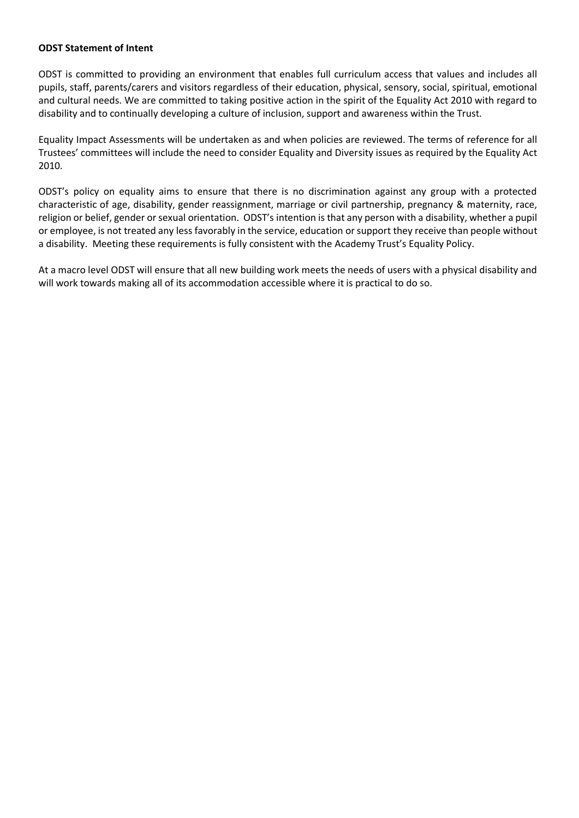### **ODST Statement of Intent**

ODST is committed to providing an environment that enables full curriculum access that values and includes all pupils, staff, parents/carers and visitors regardless of their education, physical, sensory, social, spiritual, emotional and cultural needs. We are committed to taking positive action in the spirit of the Equality Act 2010 with regard to disability and to continually developing a culture of inclusion, support and awareness within the Trust.

Equality Impact Assessments will be undertaken as and when policies are reviewed. The terms of reference for all Trustees' committees will include the need to consider Equality and Diversity issues as required by the Equality Act 2010.

ODST's policy on equality aims to ensure that there is no discrimination against any group with a protected characteristic of age, disability, gender reassignment, marriage or civil partnership, pregnancy & maternity, race, religion or belief, gender or sexual orientation. ODST's intention is that any person with a disability, whether a pupil or employee, is not treated any less favorably in the service, education or support they receive than people without a disability. Meeting these requirements is fully consistent with the Academy Trust's Equality Policy.

At a macro level ODST will ensure that all new building work meets the needs of users with a physical disability and will work towards making all of its accommodation accessible where it is practical to do so.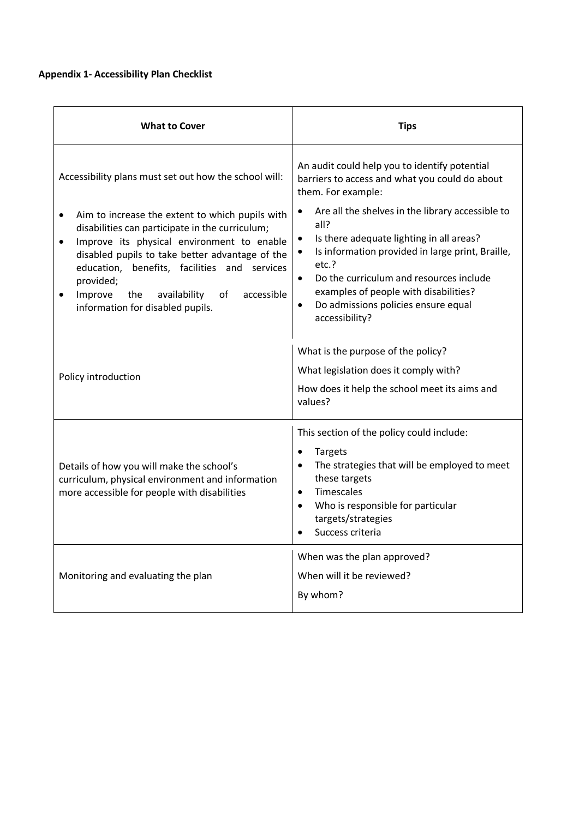### **Appendix 1- Accessibility Plan Checklist**

| <b>What to Cover</b>                                                                                                                                                                                                                                                                                                                                                                 | <b>Tips</b>                                                                                                                                                                                                                                                                                                                                                     |  |  |
|--------------------------------------------------------------------------------------------------------------------------------------------------------------------------------------------------------------------------------------------------------------------------------------------------------------------------------------------------------------------------------------|-----------------------------------------------------------------------------------------------------------------------------------------------------------------------------------------------------------------------------------------------------------------------------------------------------------------------------------------------------------------|--|--|
| Accessibility plans must set out how the school will:                                                                                                                                                                                                                                                                                                                                | An audit could help you to identify potential<br>barriers to access and what you could do about<br>them. For example:                                                                                                                                                                                                                                           |  |  |
| Aim to increase the extent to which pupils with<br>$\bullet$<br>disabilities can participate in the curriculum;<br>Improve its physical environment to enable<br>$\bullet$<br>disabled pupils to take better advantage of the<br>education, benefits, facilities and services<br>provided;<br>Improve<br>availability<br>the<br>of<br>accessible<br>information for disabled pupils. | Are all the shelves in the library accessible to<br>٠<br>all?<br>Is there adequate lighting in all areas?<br>٠<br>Is information provided in large print, Braille,<br>$\bullet$<br>etc.?<br>Do the curriculum and resources include<br>$\bullet$<br>examples of people with disabilities?<br>Do admissions policies ensure equal<br>$\bullet$<br>accessibility? |  |  |
| Policy introduction                                                                                                                                                                                                                                                                                                                                                                  | What is the purpose of the policy?<br>What legislation does it comply with?<br>How does it help the school meet its aims and<br>values?                                                                                                                                                                                                                         |  |  |
| Details of how you will make the school's<br>curriculum, physical environment and information<br>more accessible for people with disabilities                                                                                                                                                                                                                                        | This section of the policy could include:<br><b>Targets</b><br>$\bullet$<br>The strategies that will be employed to meet<br>these targets<br>Timescales<br>$\bullet$<br>Who is responsible for particular<br>targets/strategies<br>Success criteria                                                                                                             |  |  |
| Monitoring and evaluating the plan                                                                                                                                                                                                                                                                                                                                                   | When was the plan approved?<br>When will it be reviewed?<br>By whom?                                                                                                                                                                                                                                                                                            |  |  |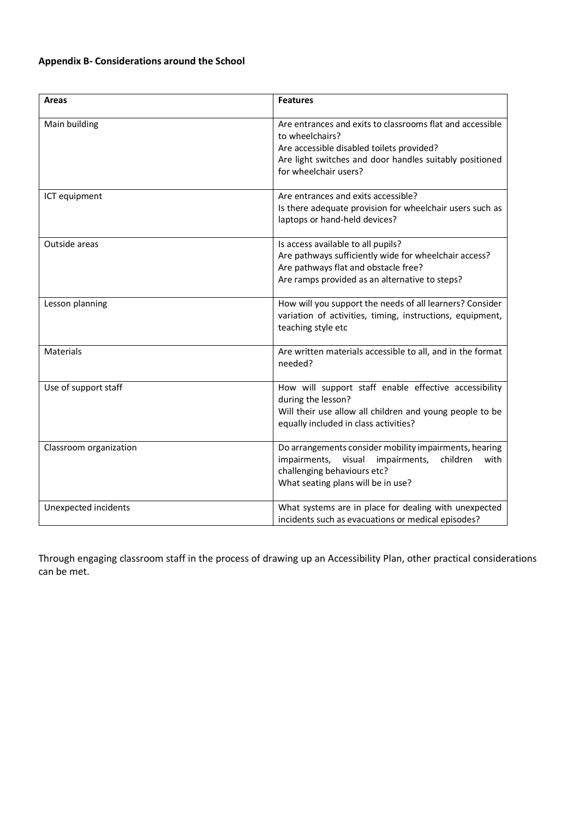### **Appendix B- Considerations around the School**

| <b>Areas</b>           | <b>Features</b>                                                                                                                                                                                               |  |  |
|------------------------|---------------------------------------------------------------------------------------------------------------------------------------------------------------------------------------------------------------|--|--|
| Main building          | Are entrances and exits to classrooms flat and accessible<br>to wheelchairs?<br>Are accessible disabled toilets provided?<br>Are light switches and door handles suitably positioned<br>for wheelchair users? |  |  |
| ICT equipment          | Are entrances and exits accessible?<br>Is there adequate provision for wheelchair users such as<br>laptops or hand-held devices?                                                                              |  |  |
| Outside areas          | Is access available to all pupils?<br>Are pathways sufficiently wide for wheelchair access?<br>Are pathways flat and obstacle free?<br>Are ramps provided as an alternative to steps?                         |  |  |
| Lesson planning        | How will you support the needs of all learners? Consider<br>variation of activities, timing, instructions, equipment,<br>teaching style etc                                                                   |  |  |
| <b>Materials</b>       | Are written materials accessible to all, and in the format<br>needed?                                                                                                                                         |  |  |
| Use of support staff   | How will support staff enable effective accessibility<br>during the lesson?<br>Will their use allow all children and young people to be<br>equally included in class activities?                              |  |  |
| Classroom organization | Do arrangements consider mobility impairments, hearing<br>impairments,<br>impairments, visual<br>children<br>with<br>challenging behaviours etc?<br>What seating plans will be in use?                        |  |  |
| Unexpected incidents   | What systems are in place for dealing with unexpected<br>incidents such as evacuations or medical episodes?                                                                                                   |  |  |

Through engaging classroom staff in the process of drawing up an Accessibility Plan, other practical considerations can be met.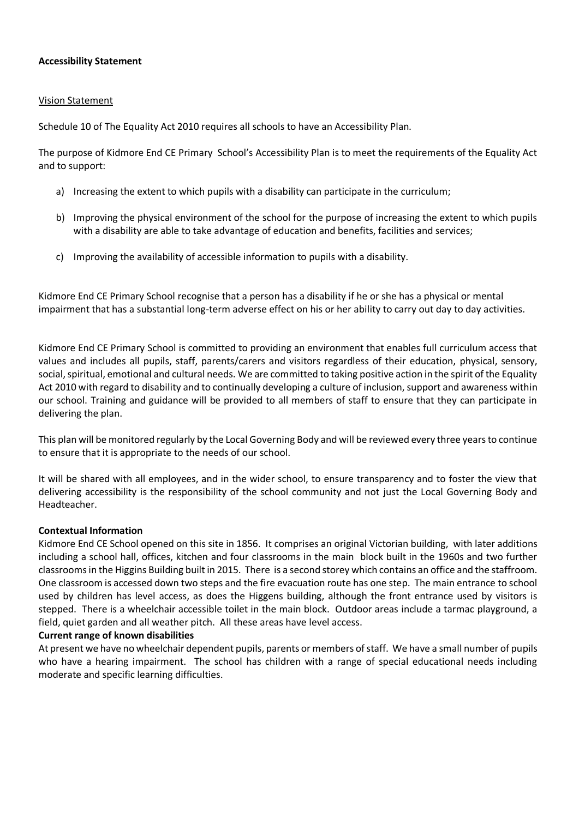### **Accessibility Statement**

#### Vision Statement

Schedule 10 of The Equality Act 2010 requires all schools to have an Accessibility Plan.

The purpose of Kidmore End CE Primary School's Accessibility Plan is to meet the requirements of the Equality Act and to support:

- a) Increasing the extent to which pupils with a disability can participate in the curriculum;
- b) Improving the physical environment of the school for the purpose of increasing the extent to which pupils with a disability are able to take advantage of education and benefits, facilities and services;
- c) Improving the availability of accessible information to pupils with a disability.

Kidmore End CE Primary School recognise that a person has a disability if he or she has a physical or mental impairment that has a substantial long-term adverse effect on his or her ability to carry out day to day activities.

Kidmore End CE Primary School is committed to providing an environment that enables full curriculum access that values and includes all pupils, staff, parents/carers and visitors regardless of their education, physical, sensory, social, spiritual, emotional and cultural needs. We are committed to taking positive action in the spirit of the Equality Act 2010 with regard to disability and to continually developing a culture of inclusion, support and awareness within our school. Training and guidance will be provided to all members of staff to ensure that they can participate in delivering the plan.

This plan will be monitored regularly by the Local Governing Body and will be reviewed every three years to continue to ensure that it is appropriate to the needs of our school.

It will be shared with all employees, and in the wider school, to ensure transparency and to foster the view that delivering accessibility is the responsibility of the school community and not just the Local Governing Body and Headteacher.

### **Contextual Information**

Kidmore End CE School opened on this site in 1856. It comprises an original Victorian building, with later additions including a school hall, offices, kitchen and four classrooms in the main block built in the 1960s and two further classrooms in the Higgins Building built in 2015. There is a second storey which contains an office and the staffroom. One classroom is accessed down two steps and the fire evacuation route has one step. The main entrance to school used by children has level access, as does the Higgens building, although the front entrance used by visitors is stepped. There is a wheelchair accessible toilet in the main block. Outdoor areas include a tarmac playground, a field, quiet garden and all weather pitch. All these areas have level access.

### **Current range of known disabilities**

At present we have no wheelchair dependent pupils, parents or members of staff. We have a small number of pupils who have a hearing impairment. The school has children with a range of special educational needs including moderate and specific learning difficulties.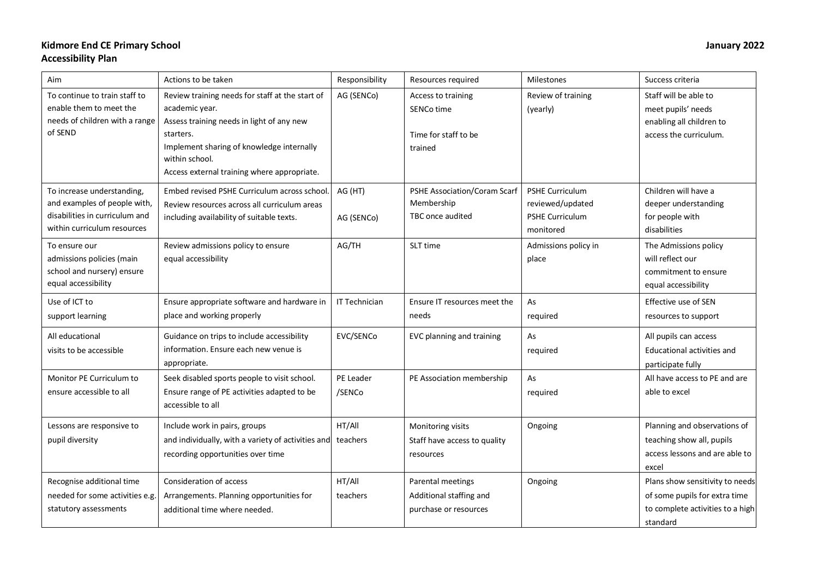### **Kidmore End CE Primary School January 2022 Accessibility Plan**

| Aim                                                                                                                         | Actions to be taken                                                                                                                                                                                                                       | Responsibility        | Resources required                                                    | <b>Milestones</b>                                                   | Success criteria                                                                                                 |
|-----------------------------------------------------------------------------------------------------------------------------|-------------------------------------------------------------------------------------------------------------------------------------------------------------------------------------------------------------------------------------------|-----------------------|-----------------------------------------------------------------------|---------------------------------------------------------------------|------------------------------------------------------------------------------------------------------------------|
| To continue to train staff to<br>enable them to meet the<br>needs of children with a range<br>of SEND                       | Review training needs for staff at the start of<br>academic year.<br>Assess training needs in light of any new<br>starters.<br>Implement sharing of knowledge internally<br>within school.<br>Access external training where appropriate. | AG (SENCo)            | Access to training<br>SENCo time<br>Time for staff to be<br>trained   | Review of training<br>(yearly)                                      | Staff will be able to<br>meet pupils' needs<br>enabling all children to<br>access the curriculum.                |
| To increase understanding,<br>and examples of people with,<br>disabilities in curriculum and<br>within curriculum resources | Embed revised PSHE Curriculum across school.<br>Review resources across all curriculum areas<br>including availability of suitable texts.                                                                                                 | AG (HT)<br>AG (SENCo) | <b>PSHE Association/Coram Scarf</b><br>Membership<br>TBC once audited | PSHE Curriculum<br>reviewed/updated<br>PSHE Curriculum<br>monitored | Children will have a<br>deeper understanding<br>for people with<br>disabilities                                  |
| To ensure our<br>admissions policies (main<br>school and nursery) ensure<br>equal accessibility                             | Review admissions policy to ensure<br>equal accessibility                                                                                                                                                                                 | AG/TH                 | SLT time                                                              | Admissions policy in<br>place                                       | The Admissions policy<br>will reflect our<br>commitment to ensure<br>equal accessibility                         |
| Use of ICT to<br>support learning                                                                                           | Ensure appropriate software and hardware in<br>place and working properly                                                                                                                                                                 | IT Technician         | Ensure IT resources meet the<br>needs                                 | As<br>required                                                      | Effective use of SEN<br>resources to support                                                                     |
| All educational<br>visits to be accessible                                                                                  | Guidance on trips to include accessibility<br>information. Ensure each new venue is<br>appropriate.                                                                                                                                       | EVC/SENCo             | EVC planning and training                                             | As<br>required                                                      | All pupils can access<br>Educational activities and<br>participate fully                                         |
| Monitor PE Curriculum to<br>ensure accessible to all                                                                        | Seek disabled sports people to visit school.<br>Ensure range of PE activities adapted to be<br>accessible to all                                                                                                                          | PE Leader<br>/SENCo   | PE Association membership                                             | As<br>required                                                      | All have access to PE and are<br>able to excel                                                                   |
| Lessons are responsive to<br>pupil diversity                                                                                | Include work in pairs, groups<br>and individually, with a variety of activities and<br>recording opportunities over time                                                                                                                  | HT/All<br>teachers    | Monitoring visits<br>Staff have access to quality<br>resources        | Ongoing                                                             | Planning and observations of<br>teaching show all, pupils<br>access lessons and are able to<br>excel             |
| Recognise additional time<br>needed for some activities e.g.<br>statutory assessments                                       | Consideration of access<br>Arrangements. Planning opportunities for<br>additional time where needed.                                                                                                                                      | HT/All<br>teachers    | Parental meetings<br>Additional staffing and<br>purchase or resources | Ongoing                                                             | Plans show sensitivity to needs<br>of some pupils for extra time<br>to complete activities to a high<br>standard |